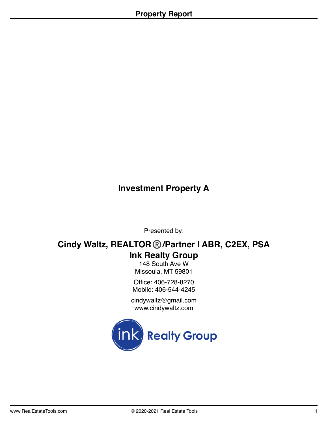# **Investment Property A**

Presented by:

# **Cindy Waltz, REALTOR**® **/Partner | ABR, C2EX, PSA Ink Realty Group**

148 South Ave W Missoula, MT 59801

Office: 406-728-8270 Mobile: 406-544-4245

cindywaltz@gmail.com www.cindywaltz.com

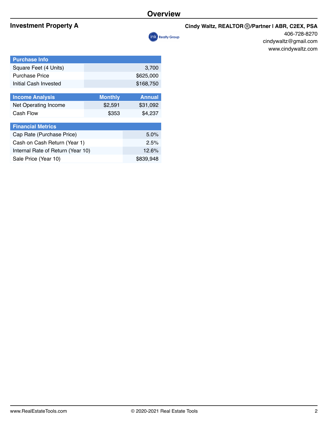#### **Investment Property A Cindy Waltz, REALTOR**® */Partner I ABR, C2EX, PSA*



406-728-8270 cindywaltz@gmail.com www.cindywaltz.com

| <b>Purchase Info</b>   |                |               |
|------------------------|----------------|---------------|
| Square Feet (4 Units)  |                | 3,700         |
| <b>Purchase Price</b>  |                | \$625,000     |
| Initial Cash Invested  |                | \$168,750     |
|                        |                |               |
| <b>Income Analysis</b> | <b>Monthly</b> | <b>Annual</b> |
| Net Operating Income   | \$2,591        | \$31,092      |

| <b>Financial Metrics</b>          |           |
|-----------------------------------|-----------|
| Cap Rate (Purchase Price)         | $5.0\%$   |
| Cash on Cash Return (Year 1)      | 2.5%      |
| Internal Rate of Return (Year 10) | 12.6%     |
| Sale Price (Year 10)              | \$839,948 |

Cash Flow \$353 \$4,237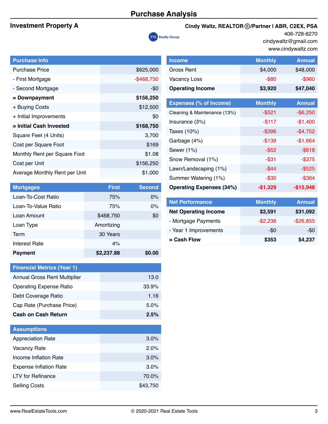# **Purchase Analysis**



### **Investment Property A Cindy Waltz, REALTOR**® */Partner I ABR, C2EX, PSA*

406-728-8270 cindywaltz@gmail.com www.cindywaltz.com

| <b>Purchase Info</b>          |               |
|-------------------------------|---------------|
| <b>Purchase Price</b>         | \$625,000     |
| - First Mortgage              | $-$ \$468,750 |
| - Second Mortgage             | -\$0          |
| = Downpayment                 | \$156,250     |
| + Buying Costs                | \$12,500      |
| + Initial Improvements        | \$0           |
| = Initial Cash Invested       | \$168,750     |
| Square Feet (4 Units)         | 3,700         |
| Cost per Square Foot          | \$169         |
| Monthly Rent per Square Foot  | \$1.08        |
| Cost per Unit                 | \$156,250     |
| Average Monthly Rent per Unit | \$1,000       |
|                               |               |

| <b>Mortgages</b>     | <b>First</b> | <b>Second</b> |
|----------------------|--------------|---------------|
| Loan-To-Cost Ratio   | 75%          | $0\%$         |
| Loan-To-Value Ratio  | 75%          | $0\%$         |
| Loan Amount          | \$468,750    | \$0           |
| Loan Type            | Amortizing   |               |
| Term                 | 30 Years     |               |
| <b>Interest Rate</b> | 4%           |               |
| <b>Payment</b>       | \$2,237.88   | \$0.00        |

| <b>Financial Metrics (Year 1)</b>   |         |
|-------------------------------------|---------|
| <b>Annual Gross Rent Multiplier</b> | 13.0    |
| <b>Operating Expense Ratio</b>      | 33.9%   |
| Debt Coverage Ratio                 | 1.16    |
| Cap Rate (Purchase Price)           | $5.0\%$ |
| <b>Cash on Cash Return</b>          | 2.5%    |

| <b>Assumptions</b>            |          |
|-------------------------------|----------|
| <b>Appreciation Rate</b>      | $3.0\%$  |
| <b>Vacancy Rate</b>           | 2.0%     |
| Income Inflation Rate         | 3.0%     |
| <b>Expense Inflation Rate</b> | 3.0%     |
| <b>LTV</b> for Refinance      | 70.0%    |
| <b>Selling Costs</b>          | \$43,750 |

| <b>Income</b>                   | <b>Monthly</b> | <b>Annual</b> |  |
|---------------------------------|----------------|---------------|--|
| Gross Rent                      | \$4,000        | \$48,000      |  |
| <b>Vacancy Loss</b>             | $-$ \$80       | $-$ \$960     |  |
| <b>Operating Income</b>         | \$3,920        | \$47,040      |  |
|                                 |                |               |  |
| <b>Expenses (% of Income)</b>   | <b>Monthly</b> | <b>Annual</b> |  |
| Cleaning & Maintenance (13%)    | $-$ \$521      | $-$ \$6,250   |  |
| Insurance (3%)                  | $-$117$        | $-$1,400$     |  |
| Taxes (10%)                     | $-$ \$396      | $-$4,752$     |  |
| Garbage (4%)                    | $-$139$        | $-$1,664$     |  |
| Sewer (1%)                      | $-$ \$52       | $-$ \$618     |  |
| Snow Removal (1%)               | $-$ \$31       | $-$ \$375     |  |
| Lawn/Landscaping (1%)           | $-$ \$44       | $-$ \$525     |  |
| Summer Watering (1%)            | $-$ \$30       | $-$ \$364     |  |
| <b>Operating Expenses (34%)</b> | $-$1,329$      | $-$15,948$    |  |
|                                 |                |               |  |
| <b>Net Performance</b>          | <b>Monthly</b> | <b>Annual</b> |  |
| <b>Net Operating Income</b>     | \$2,591        | \$31,092      |  |
| - Mortgage Payments             | $-$2,238$      | $-$26,855$    |  |
| - Year 1 Improvements           | $-\$0$         | $-\$0$        |  |

**= Cash Flow \$353 \$4,237**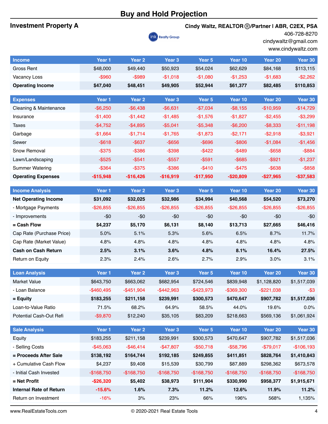## **Buy and Hold Projection**

| <b>Investment Property A</b> |              | Cindy Waltz, REALTOR ®/Partner I ABR, C2EX, PSA<br><b>ink</b> Realty Group |                   |              |               |                    | 406-728-8270<br>cindywaltz@gmail.com<br>www.cindywaltz.com |  |
|------------------------------|--------------|----------------------------------------------------------------------------|-------------------|--------------|---------------|--------------------|------------------------------------------------------------|--|
| <b>Income</b>                | Year 1       | Year <sub>2</sub>                                                          | Year <sub>3</sub> | Year 5       | Year 10       | Year <sub>20</sub> | Year 30                                                    |  |
| <b>Gross Rent</b>            | \$48,000     | \$49,440                                                                   | \$50,923          | \$54,024     | \$62,629      | \$84,168           | \$113,115                                                  |  |
| Vacancy Loss                 | $-$ \$960    | $-$ \$989                                                                  | $-$1,018$         | $-$1,080$    | $-$1,253$     | $-$1,683$          | $-$ \$2,262                                                |  |
| <b>Operating Income</b>      | \$47,040     | \$48,451                                                                   | \$49,905          | \$52,944     | \$61,377      | \$82,485           | \$110,853                                                  |  |
| <b>Expenses</b>              | Year 1       | Year <sub>2</sub>                                                          | Year <sub>3</sub> | Year 5       | Year 10       | Year 20            | Year 30                                                    |  |
| Cleaning & Maintenance       | $-$ \$6,250  | $-$6,438$                                                                  | $-$6,631$         | $-$7,034$    | $-$ \$8,155   | $-$10,959$         | $-$14,729$                                                 |  |
| Insurance                    | $-$1,400$    | $-$1,442$                                                                  | $-$1,485$         | $-$1,576$    | $-$1,827$     | $-$2,455$          | $-$3,299$                                                  |  |
| <b>Taxes</b>                 | $-$4,752$    | $-$ \$4,895                                                                | $-$ \$5,041       | $-$5,348$    | $-$6,200$     | $-$ \$8,333        | $-$11,198$                                                 |  |
| Garbage                      | $-$1,664$    | $-$1,714$                                                                  | $-$1,765$         | $-$1,873$    | $-$2,171$     | $-$2,918$          | $-$3,921$                                                  |  |
| Sewer                        | $-$ \$618    | $-$ \$637                                                                  | $-$ \$656         | $-$ \$696    | $-$ \$806     | $-$1,084$          | $-$1,456$                                                  |  |
| Snow Removal                 | $-$ \$375    | $-$ \$386                                                                  | $-$ \$398         | $-$422$      | $-$ \$489     | $-$ \$658          | $-$ \$884                                                  |  |
| Lawn/Landscaping             | $-$ \$525    | $- $541$                                                                   | $-$ \$557         | $-$ \$591    | $-$ \$685     | $-$ \$921          | $-$1,237$                                                  |  |
| <b>Summer Watering</b>       | $-$ \$364    | $-$ \$375                                                                  | $-$ \$386         | $-$ \$410    | $-$ \$475     | $-$ \$638          | $-$ \$858                                                  |  |
| <b>Operating Expenses</b>    | $-$15,948$   | $-$16,426$                                                                 | $-$16,919$        | $-$17,950$   | $-$20,809$    | $-$27,965$         | $-$37,583$                                                 |  |
| <b>Income Analysis</b>       | Year 1       | Year <sub>2</sub>                                                          | Year <sub>3</sub> | Year 5       | Year 10       | Year 20            | Year 30                                                    |  |
| <b>Net Operating Income</b>  | \$31,092     | \$32,025                                                                   | \$32,986          | \$34,994     | \$40,568      | \$54,520           | \$73,270                                                   |  |
| - Mortgage Payments          | $-$ \$26,855 | $-$26,855$                                                                 | $-$26,855$        | $-$ \$26,855 | $-$ \$26,855  | $-$ \$26,855       | $-$26,855$                                                 |  |
| - Improvements               | -\$0         | $-\$0$                                                                     | $-\$0$            | -\$0         | $-$0$         | $-50$              | -\$0                                                       |  |
| = Cash Flow                  | \$4,237      | \$5,170                                                                    | \$6,131           | \$8,140      | \$13,713      | \$27,665           | \$46,416                                                   |  |
| Cap Rate (Purchase Price)    | 5.0%         | 5.1%                                                                       | 5.3%              | 5.6%         | 6.5%          | 8.7%               | 11.7%                                                      |  |
| Cap Rate (Market Value)      | 4.8%         | 4.8%                                                                       | 4.8%              | 4.8%         | 4.8%          | 4.8%               | 4.8%                                                       |  |
| <b>Cash on Cash Return</b>   | 2.5%         | 3.1%                                                                       | 3.6%              | 4.8%         | 8.1%          | 16.4%              | 27.5%                                                      |  |
| Return on Equity             | 2.3%         | 2.4%                                                                       | 2.6%              | 2.7%         | 2.9%          | 3.0%               | 3.1%                                                       |  |
| <b>Loan Analysis</b>         | Year 1       | Year <sub>2</sub>                                                          | Year <sub>3</sub> | Year 5       | Year 10       | Year 20            | Year 30                                                    |  |
| <b>Market Value</b>          | \$643,750    | \$663,062                                                                  | \$682,954         | \$724,546    | \$839,948     | \$1,128,820        | \$1,517,039                                                |  |
| - Loan Balance               | $-$460,495$  | $-$451,904$                                                                | $-$442,963$       | $-$423,973$  | $-$ \$369,300 | $-$221,038$        | $-$ \$3                                                    |  |
| $=$ Equity                   | \$183,255    | \$211,158                                                                  | \$239,991         | \$300,573    | \$470,647     | \$907,782          | \$1,517,036                                                |  |
| Loan-to-Value Ratio          | 71.5%        | 68.2%                                                                      | 64.9%             | 58.5%        | 44.0%         | 19.6%              | 0.0%                                                       |  |
| Potential Cash-Out Refi      | $-$9,870$    | \$12,240                                                                   | \$35,105          | \$83,209     | \$218,663     | \$569,136          | \$1,061,924                                                |  |
| <b>Sale Analysis</b>         | Year 1       | Year <sub>2</sub>                                                          | Year <sub>3</sub> | Year 5       | Year 10       | Year 20            | Year 30                                                    |  |
| Equity                       | \$183,255    | \$211,158                                                                  | \$239,991         | \$300,573    | \$470,647     | \$907,782          | \$1,517,036                                                |  |
| - Selling Costs              |              |                                                                            |                   |              | $-$58,796$    | $-$79,017$         | $-$106,193$                                                |  |

**= Proceeds After Sale \$138,192 \$164,744 \$192,185 \$249,855 \$411,851 \$828,764 \$1,410,843** + Cumulative Cash Flow \$4,237 \$9,408 \$15,539 \$30,799 \$87,889 \$298,362 \$673,578 - Initial Cash Invested -\$168,750 -\$168,750 -\$168,750 -\$168,750 -\$168,750 -\$168,750 -\$168,750 **= Net Profit -\$26,320 \$5,402 \$38,973 \$111,904 \$330,990 \$958,377 \$1,915,671 Internal Rate of Return -15.6% 1.6% 7.3% 11.2% 12.6% 11.9% 11.2%** Return on Investment -16% 3% 23% 66% 196% 568% 1,135%